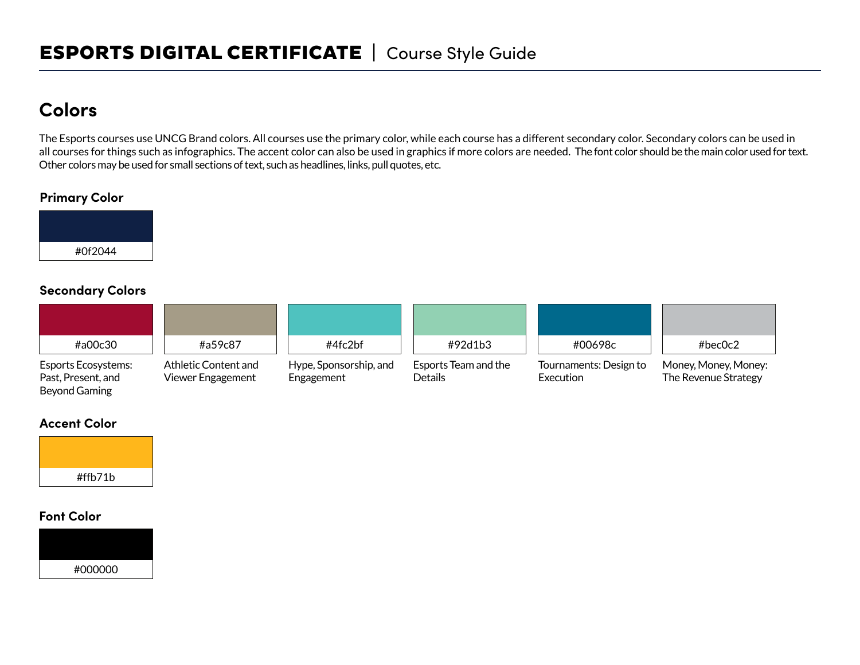# **Colors**

The Esports courses use UNCG Brand colors. All courses use the primary color, while each course has a different secondary color. Secondary colors can be used in all courses for things such as infographics. The accent color can also be used in graphics if more colors are needed. The font color should be the main color used for text. Other colors may be used for small sections of text, such as headlines, links, pull quotes, etc.

### **Primary Color**



### **Secondary Colors**

| #a00c30                                          | #a59c87                                   | #4fc2bf                              | #92d1b3                         | #00698c                             | #bec0c2                                      |
|--------------------------------------------------|-------------------------------------------|--------------------------------------|---------------------------------|-------------------------------------|----------------------------------------------|
| <b>Esports Ecosystems:</b><br>Past, Present, and | Athletic Content and<br>Viewer Engagement | Hype, Sponsorship, and<br>Engagement | Esports Team and the<br>Details | Tournaments: Design to<br>Execution | Money, Money, Money:<br>The Revenue Strategy |

#### **Accent Color**

Beyond Gaming



#### **Font Color**

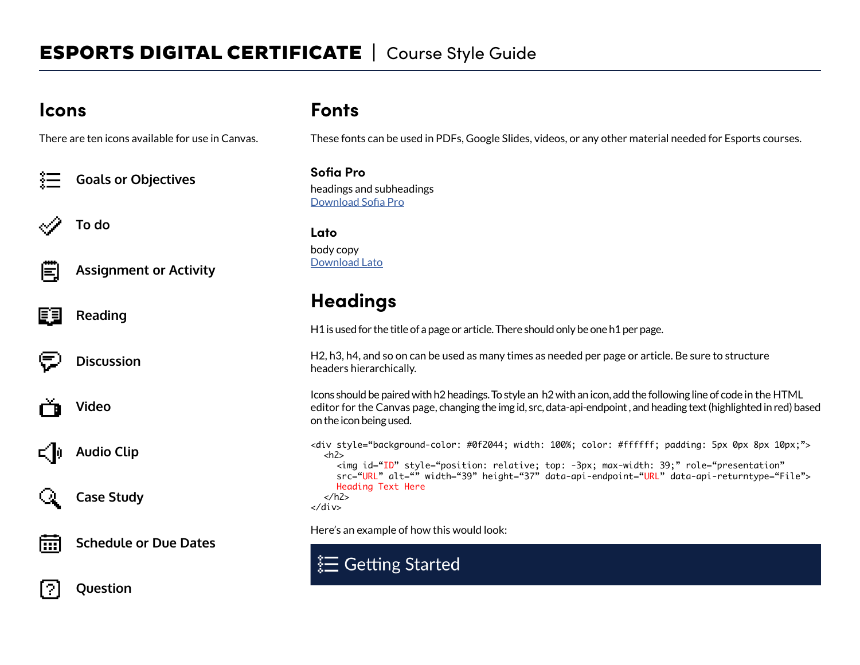## **Icons**

There are ten icons available for use in Canvas.

**Goals or Objectives**

**To do**



**Assignment or Activity**

**Reading**

**Discussion**

**Video**





**Audio Clip**



2.

**Case Study**



**Question**

## **Fonts**

These fonts can be used in PDFs, Google Slides, videos, or any other material needed for Esports courses.

**Sofia Pro** headings and subheadings Download Sofia Pro

#### **Lato** body copy Download Lato

# **Headings**

H1 is used for the title of a page or article. There should only be one h1 per page.

H2, h3, h4, and so on can be used as many times as needed per page or article. Be sure to structure headers hierarchically.

Icons should be paired with h2 headings. To style an h2 with an icon, add the following line of code in the HTML editor for the Canvas page, changing the img id, src, data-api-endpoint , and heading text (highlighted in red) based on the icon being used.

<div style="background-color: #0f2044; width: 100%; color: #ffffff; padding: 5px 0px 8px 10px;">  $<$ h2 $>$ <img id="ID" style="position: relative; top: -3px; max-width: 39;" role="presentation" src="URL" alt="" width="39" height="37" data-api-endpoint="URL" data-api-returntype="File"> Heading Text Here </h2> </div>

Here's an example of how this would look:

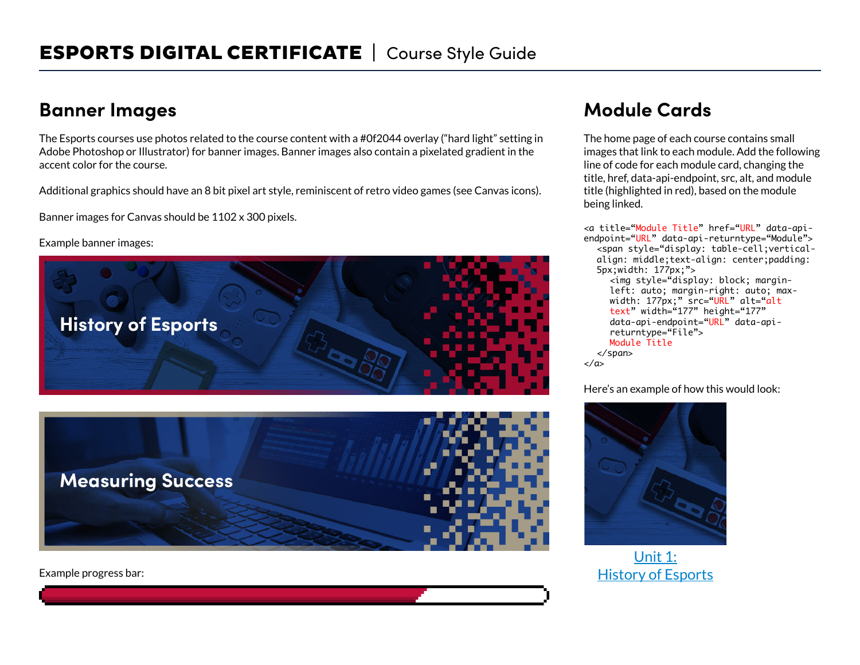# **Banner Images**

The Esports courses use photos related to the course content with a #0f2044 overlay ("hard light" setting in Adobe Photoshop or Illustrator) for banner images. Banner images also contain a pixelated gradient in the accent color for the course.

Additional graphics should have an 8 bit pixel art style, reminiscent of retro video games (see Canvas icons).

Banner images for Canvas should be 1102 x 300 pixels.

Example banner images:



Example progress bar:

# **Module Cards**

The home page of each course contains small images that link to each module. Add the following line of code for each module card, changing the title, href, data-api-endpoint, src, alt, and module title (highlighted in red), based on the module being linked.

<a title="Module Title" href="URL" data-apiendpoint="URL" data-api-returntype="Module"> <span style="display: table-cell;verticalalign: middle;text-align: center;padding: 5px;width: 177px;"> <img style="display: block; marginleft: auto; margin-right: auto; maxwidth: 177px;" src=**"URL"** alt=**"a**lt text" width="177" height="177" data-api-endpoint="URL" data-apireturntype="File"> Module Title </span> </a>

Here's an example of how this would look:



Unit 1: History of Esports